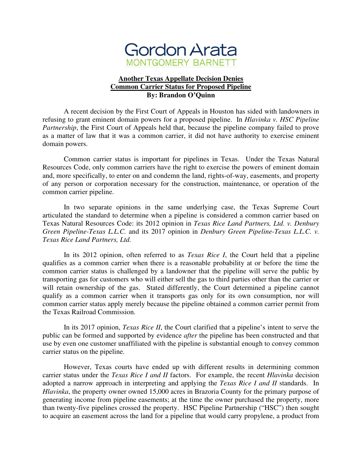

## **Another Texas Appellate Decision Denies Common Carrier Status for Proposed Pipeline By: Brandon O'Quinn**

A recent decision by the First Court of Appeals in Houston has sided with landowners in refusing to grant eminent domain powers for a proposed pipeline. In *Hlavinka v. HSC Pipeline Partnership*, the First Court of Appeals held that, because the pipeline company failed to prove as a matter of law that it was a common carrier, it did not have authority to exercise eminent domain powers.

Common carrier status is important for pipelines in Texas. Under the Texas Natural Resources Code, only common carriers have the right to exercise the powers of eminent domain and, more specifically, to enter on and condemn the land, rights-of-way, easements, and property of any person or corporation necessary for the construction, maintenance, or operation of the common carrier pipeline.

In two separate opinions in the same underlying case, the Texas Supreme Court articulated the standard to determine when a pipeline is considered a common carrier based on Texas Natural Resources Code: its 2012 opinion in *Texas Rice Land Partners, Ltd. v. Denbury Green Pipeline-Texas L.L.C.* and its 2017 opinion in *Denbury Green Pipeline-Texas L.L.C. v. Texas Rice Land Partners, Ltd.* 

In its 2012 opinion, often referred to as *Texas Rice I*, the Court held that a pipeline qualifies as a common carrier when there is a reasonable probability at or before the time the common carrier status is challenged by a landowner that the pipeline will serve the public by transporting gas for customers who will either sell the gas to third parties other than the carrier or will retain ownership of the gas. Stated differently, the Court determined a pipeline cannot qualify as a common carrier when it transports gas only for its own consumption, nor will common carrier status apply merely because the pipeline obtained a common carrier permit from the Texas Railroad Commission.

In its 2017 opinion, *Texas Rice II*, the Court clarified that a pipeline's intent to serve the public can be formed and supported by evidence *after* the pipeline has been constructed and that use by even one customer unaffiliated with the pipeline is substantial enough to convey common carrier status on the pipeline.

However, Texas courts have ended up with different results in determining common carrier status under the *Texas Rice I and II* factors. For example, the recent *Hlavinka* decision adopted a narrow approach in interpreting and applying the *Texas Rice I and II* standards. In *Hlavinka*, the property owner owned 15,000 acres in Brazoria County for the primary purpose of generating income from pipeline easements; at the time the owner purchased the property, more than twenty-five pipelines crossed the property. HSC Pipeline Partnership ("HSC") then sought to acquire an easement across the land for a pipeline that would carry propylene, a product from